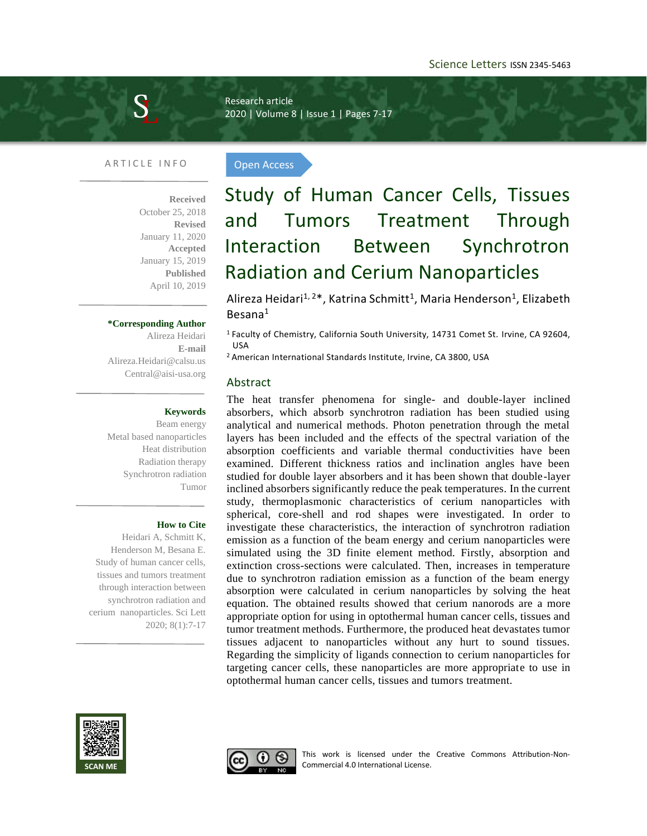Research article

Open Access

2020 | Volume 8 | Issue 1 | Pages 7-17

#### ARTICLE INFO

Ï

**Received**  October 25, 2018 **Revised** January 11, 2020 **Accepted**  January 15, 2019 **Published**  April 10, 2019

## **\*Corresponding Author**

Alireza Heidari **E-mail**  [Alireza.Heidari@calsu.us](mailto:Alireza.Heidari@calsu.us) [Central@aisi-usa.org](mailto:Central@aisi-usa.org)

## **Keywords**

Beam energy Metal based nanoparticles Heat distribution Radiation therapy Synchrotron radiation Tumor

#### **How to Cite**

Heidari A, Schmitt K, Henderson M, Besana E. Study of human cancer cells, tissues and tumors treatment through interaction between synchrotron radiation and cerium nanoparticles. Sci Lett 2020; 8(1):7-17

# Study of Human Cancer Cells, Tissues and Tumors Treatment Through Interaction Between Synchrotron Radiation and Cerium Nanoparticles

# Alireza Heidari<sup>1,2\*</sup>, Katrina Schmitt<sup>1</sup>, Maria Henderson<sup>1</sup>, Elizabeth Besana<sup>1</sup>

<sup>1</sup> Faculty of Chemistry, California South University, 14731 Comet St. Irvine, CA 92604, USA

<sup>2</sup> American International Standards Institute, Irvine, CA 3800, USA

### Abstract

The heat transfer phenomena for single- and double-layer inclined absorbers, which absorb synchrotron radiation has been studied using analytical and numerical methods. Photon penetration through the metal layers has been included and the effects of the spectral variation of the absorption coefficients and variable thermal conductivities have been examined. Different thickness ratios and inclination angles have been studied for double layer absorbers and it has been shown that double-layer inclined absorbers significantly reduce the peak temperatures. In the current study, thermoplasmonic characteristics of cerium nanoparticles with spherical, core-shell and rod shapes were investigated. In order to investigate these characteristics, the interaction of synchrotron radiation emission as a function of the beam energy and cerium nanoparticles were simulated using the 3D finite element method. Firstly, absorption and extinction cross-sections were calculated. Then, increases in temperature due to synchrotron radiation emission as a function of the beam energy absorption were calculated in cerium nanoparticles by solving the heat equation. The obtained results showed that cerium nanorods are a more appropriate option for using in optothermal human cancer cells, tissues and tumor treatment methods. Furthermore, the produced heat devastates tumor tissues adjacent to nanoparticles without any hurt to sound tissues. Regarding the simplicity of ligands connection to cerium nanoparticles for targeting cancer cells, these nanoparticles are more appropriate to use in optothermal human cancer cells, tissues and tumors treatment.





This work is licensed under the Creative Commons Attribution-Non-Commercial 4.0 International License.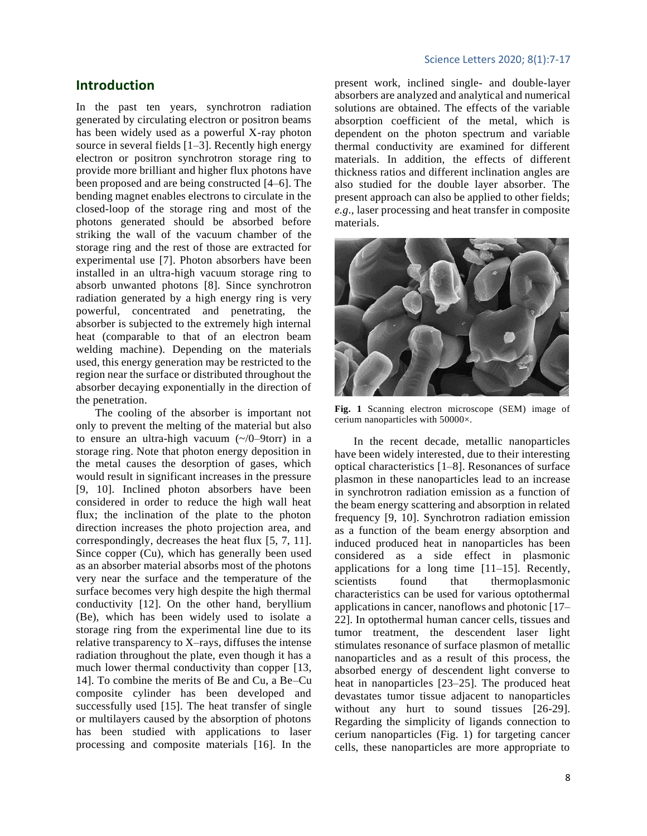# **Introduction**

In the past ten years, synchrotron radiation generated by circulating electron or positron beams has been widely used as a powerful X-ray photon source in several fields [1–3]. Recently high energy electron or positron synchrotron storage ring to provide more brilliant and higher flux photons have been proposed and are being constructed [4–6]. The bending magnet enables electrons to circulate in the closed-loop of the storage ring and most of the photons generated should be absorbed before striking the wall of the vacuum chamber of the storage ring and the rest of those are extracted for experimental use [7]. Photon absorbers have been installed in an ultra-high vacuum storage ring to absorb unwanted photons [8]. Since synchrotron radiation generated by a high energy ring is very powerful, concentrated and penetrating, the absorber is subjected to the extremely high internal heat (comparable to that of an electron beam welding machine). Depending on the materials used, this energy generation may be restricted to the region near the surface or distributed throughout the absorber decaying exponentially in the direction of the penetration.

The cooling of the absorber is important not only to prevent the melting of the material but also to ensure an ultra-high vacuum (~/0–9torr) in a storage ring. Note that photon energy deposition in the metal causes the desorption of gases, which would result in significant increases in the pressure [9, 10]. Inclined photon absorbers have been considered in order to reduce the high wall heat flux; the inclination of the plate to the photon direction increases the photo projection area, and correspondingly, decreases the heat flux [5, 7, 11]. Since copper (Cu), which has generally been used as an absorber material absorbs most of the photons very near the surface and the temperature of the surface becomes very high despite the high thermal conductivity [12]. On the other hand, beryllium (Be), which has been widely used to isolate a storage ring from the experimental line due to its relative transparency to X–rays, diffuses the intense radiation throughout the plate, even though it has a much lower thermal conductivity than copper [13, 14]. To combine the merits of Be and Cu, a Be–Cu composite cylinder has been developed and successfully used [15]. The heat transfer of single or multilayers caused by the absorption of photons has been studied with applications to laser processing and composite materials [16]. In the

## Science Letters 2020; 8(1):7-17

present work, inclined single- and double-layer absorbers are analyzed and analytical and numerical solutions are obtained. The effects of the variable absorption coefficient of the metal, which is dependent on the photon spectrum and variable thermal conductivity are examined for different materials. In addition, the effects of different thickness ratios and different inclination angles are also studied for the double layer absorber. The present approach can also be applied to other fields; *e.g*., laser processing and heat transfer in composite materials.



**Fig. 1** Scanning electron microscope (SEM) image of cerium nanoparticles with 50000×.

In the recent decade, metallic nanoparticles have been widely interested, due to their interesting optical characteristics [1–8]. Resonances of surface plasmon in these nanoparticles lead to an increase in synchrotron radiation emission as a function of the beam energy scattering and absorption in related frequency [9, 10]. Synchrotron radiation emission as a function of the beam energy absorption and induced produced heat in nanoparticles has been considered as a side effect in plasmonic applications for a long time [11–15]. Recently, scientists found that thermoplasmonic characteristics can be used for various optothermal applications in cancer, nanoflows and photonic [17– 22]. In optothermal human cancer cells, tissues and tumor treatment, the descendent laser light stimulates resonance of surface plasmon of metallic nanoparticles and as a result of this process, the absorbed energy of descendent light converse to heat in nanoparticles [23–25]. The produced heat devastates tumor tissue adjacent to nanoparticles without any hurt to sound tissues [26-29]. Regarding the simplicity of ligands connection to cerium nanoparticles (Fig. 1) for targeting cancer cells, these nanoparticles are more appropriate to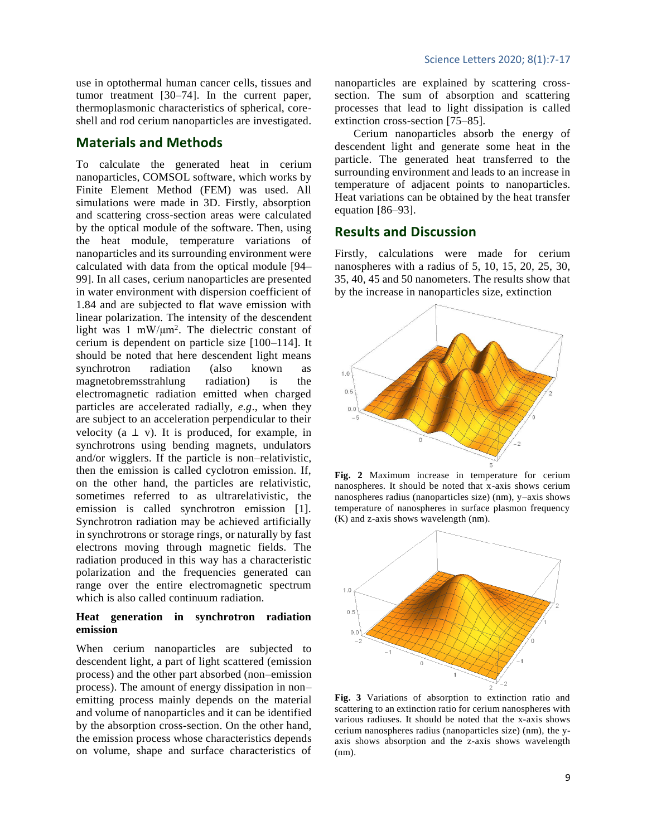use in optothermal human cancer cells, tissues and tumor treatment [30–74]. In the current paper, thermoplasmonic characteristics of spherical, coreshell and rod cerium nanoparticles are investigated.

# **Materials and Methods**

To calculate the generated heat in cerium nanoparticles, COMSOL software, which works by Finite Element Method (FEM) was used. All simulations were made in 3D. Firstly, absorption and scattering cross-section areas were calculated by the optical module of the software. Then, using the heat module, temperature variations of nanoparticles and its surrounding environment were calculated with data from the optical module [94– 99]. In all cases, cerium nanoparticles are presented in water environment with dispersion coefficient of 1.84 and are subjected to flat wave emission with linear polarization. The intensity of the descendent light was 1 mW/μm<sup>2</sup>. The dielectric constant of cerium is dependent on particle size [100–114]. It should be noted that here descendent light means synchrotron radiation (also known as magnetobremsstrahlung radiation) is the electromagnetic radiation emitted when charged particles are accelerated radially, *e.g*., when they are subject to an acceleration perpendicular to their velocity (a  $\perp$  v). It is produced, for example, in synchrotrons using bending magnets, undulators and/or wigglers. If the particle is non–relativistic, then the emission is called cyclotron emission. If, on the other hand, the particles are relativistic, sometimes referred to as ultrarelativistic, the emission is called synchrotron emission [1]. Synchrotron radiation may be achieved artificially in synchrotrons or storage rings, or naturally by fast electrons moving through magnetic fields. The radiation produced in this way has a characteristic polarization and the frequencies generated can range over the entire electromagnetic spectrum which is also called continuum radiation.

## **Heat generation in synchrotron radiation emission**

When cerium nanoparticles are subjected to descendent light, a part of light scattered (emission process) and the other part absorbed (non–emission process). The amount of energy dissipation in non– emitting process mainly depends on the material and volume of nanoparticles and it can be identified by the absorption cross-section. On the other hand, the emission process whose characteristics depends on volume, shape and surface characteristics of

nanoparticles are explained by scattering crosssection. The sum of absorption and scattering processes that lead to light dissipation is called extinction cross-section [75–85].

Cerium nanoparticles absorb the energy of descendent light and generate some heat in the particle. The generated heat transferred to the surrounding environment and leads to an increase in temperature of adjacent points to nanoparticles. Heat variations can be obtained by the heat transfer equation [86–93].

## **Results and Discussion**

Firstly, calculations were made for cerium nanospheres with a radius of 5, 10, 15, 20, 25, 30, 35, 40, 45 and 50 nanometers. The results show that by the increase in nanoparticles size, extinction



**Fig. 2** Maximum increase in temperature for cerium nanospheres. It should be noted that x-axis shows cerium nanospheres radius (nanoparticles size) (nm), y–axis shows temperature of nanospheres in surface plasmon frequency (K) and z-axis shows wavelength (nm).



**Fig. 3** Variations of absorption to extinction ratio and scattering to an extinction ratio for cerium nanospheres with various radiuses. It should be noted that the x-axis shows cerium nanospheres radius (nanoparticles size) (nm), the yaxis shows absorption and the z-axis shows wavelength  $(nm)$ .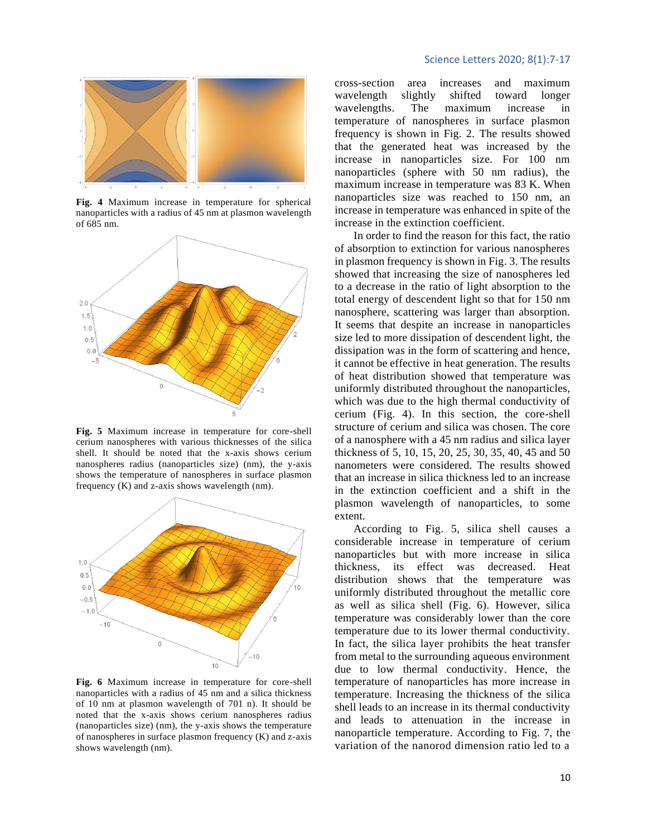

**Fig. 4** Maximum increase in temperature for spherical nanoparticles with a radius of 45 nm at plasmon wavelength of 685 nm.



**Fig. 5** Maximum increase in temperature for core-shell cerium nanospheres with various thicknesses of the silica shell. It should be noted that the x-axis shows cerium nanospheres radius (nanoparticles size) (nm), the y-axis shows the temperature of nanospheres in surface plasmon frequency (K) and z-axis shows wavelength (nm).



**Fig. 6** Maximum increase in temperature for core-shell nanoparticles with a radius of 45 nm and a silica thickness of 10 nm at plasmon wavelength of 701 n). It should be noted that the x-axis shows cerium nanospheres radius (nanoparticles size) (nm), the y-axis shows the temperature of nanospheres in surface plasmon frequency (K) and z-axis shows wavelength (nm).

### Science Letters 2020; 8(1):7-17

cross-section area increases and maximum wavelength slightly shifted toward longer wavelengths. The maximum increase in temperature of nanospheres in surface plasmon frequency is shown in Fig. 2. The results showed that the generated heat was increased by the increase in nanoparticles size. For 100 nm nanoparticles (sphere with 50 nm radius), the maximum increase in temperature was 83 K. When nanoparticles size was reached to 150 nm, an increase in temperature was enhanced in spite of the increase in the extinction coefficient.

In order to find the reason for this fact, the ratio of absorption to extinction for various nanospheres in plasmon frequency is shown in Fig. 3. The results showed that increasing the size of nanospheres led to a decrease in the ratio of light absorption to the total energy of descendent light so that for 150 nm nanosphere, scattering was larger than absorption. It seems that despite an increase in nanoparticles size led to more dissipation of descendent light, the dissipation was in the form of scattering and hence, it cannot be effective in heat generation. The results of heat distribution showed that temperature was uniformly distributed throughout the nanoparticles, which was due to the high thermal conductivity of cerium (Fig. 4). In this section, the core-shell structure of cerium and silica was chosen. The core of a nanosphere with a 45 nm radius and silica layer thickness of 5, 10, 15, 20, 25, 30, 35, 40, 45 and 50 nanometers were considered. The results showed that an increase in silica thickness led to an increase in the extinction coefficient and a shift in the plasmon wavelength of nanoparticles, to some extent.

According to Fig. 5, silica shell causes a considerable increase in temperature of cerium nanoparticles but with more increase in silica thickness, its effect was decreased. Heat distribution shows that the temperature was uniformly distributed throughout the metallic core as well as silica shell (Fig. 6). However, silica temperature was considerably lower than the core temperature due to its lower thermal conductivity. In fact, the silica layer prohibits the heat transfer from metal to the surrounding aqueous environment due to low thermal conductivity. Hence, the temperature of nanoparticles has more increase in temperature. Increasing the thickness of the silica shell leads to an increase in its thermal conductivity and leads to attenuation in the increase in nanoparticle temperature. According to Fig. 7, the variation of the nanorod dimension ratio led to a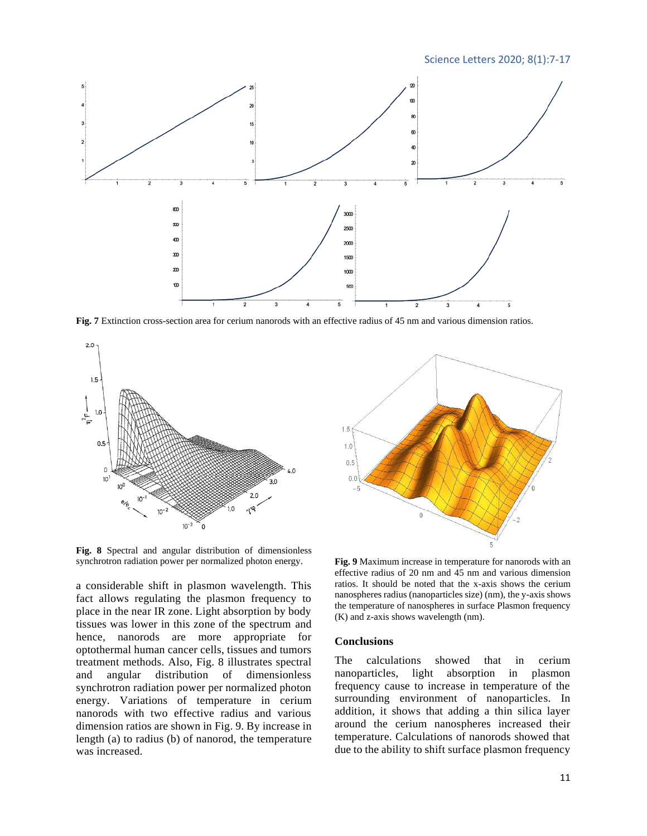Science Letters 2020; 8(1):7-17



**Fig. 7** Extinction cross-section area for cerium nanorods with an effective radius of 45 nm and various dimension ratios.



**Fig. 8** Spectral and angular distribution of dimensionless synchrotron radiation power per normalized photon energy.

a considerable shift in plasmon wavelength. This fact allows regulating the plasmon frequency to place in the near IR zone. Light absorption by body tissues was lower in this zone of the spectrum and hence, nanorods are more appropriate for optothermal human cancer cells, tissues and tumors treatment methods. Also, Fig. 8 illustrates spectral and angular distribution of dimensionless synchrotron radiation power per normalized photon energy. Variations of temperature in cerium nanorods with two effective radius and various dimension ratios are shown in Fig. 9. By increase in length (a) to radius (b) of nanorod, the temperature was increased.



**Fig. 9** Maximum increase in temperature for nanorods with an effective radius of 20 nm and 45 nm and various dimension ratios. It should be noted that the x-axis shows the cerium nanospheres radius (nanoparticles size) (nm), the y-axis shows the temperature of nanospheres in surface Plasmon frequency (K) and z-axis shows wavelength (nm).

## **Conclusions**

The calculations showed that in cerium nanoparticles, light absorption in plasmon frequency cause to increase in temperature of the surrounding environment of nanoparticles. In addition, it shows that adding a thin silica layer around the cerium nanospheres increased their temperature. Calculations of nanorods showed that due to the ability to shift surface plasmon frequency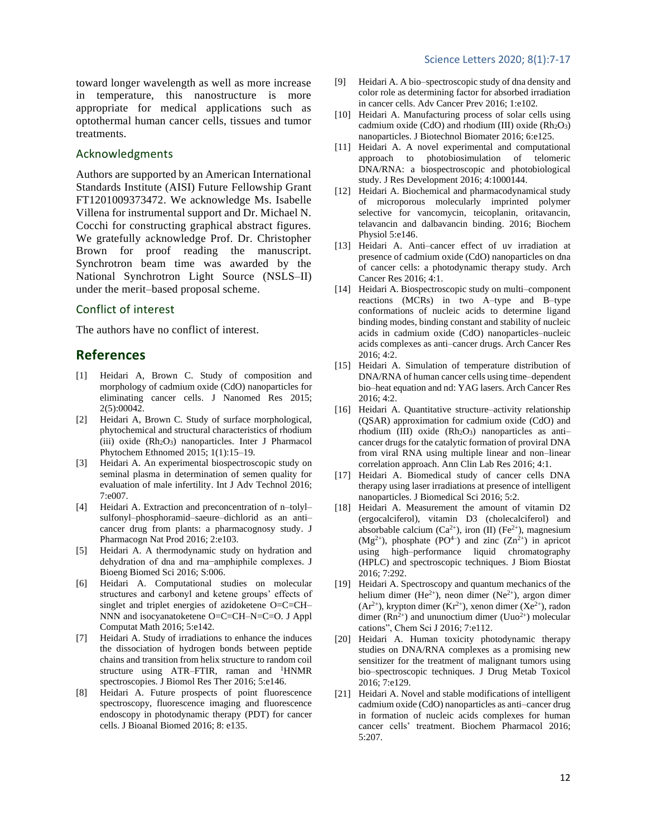toward longer wavelength as well as more increase in temperature, this nanostructure is more appropriate for medical applications such as optothermal human cancer cells, tissues and tumor treatments.

## Acknowledgments

Authors are supported by an American International Standards Institute (AISI) Future Fellowship Grant FT1201009373472. We acknowledge Ms. Isabelle Villena for instrumental support and Dr. Michael N. Cocchi for constructing graphical abstract figures. We gratefully acknowledge Prof. Dr. Christopher Brown for proof reading the manuscript. Synchrotron beam time was awarded by the National Synchrotron Light Source (NSLS–II) under the merit–based proposal scheme.

### Conflict of interest

The authors have no conflict of interest.

## **References**

- [1] Heidari A, Brown C. Study of composition and morphology of cadmium oxide (CdO) nanoparticles for eliminating cancer cells. J Nanomed Res 2015; 2(5):00042.
- [2] Heidari A, Brown C. Study of surface morphological, phytochemical and structural characteristics of rhodium (iii) oxide (Rh2O3) nanoparticles. Inter J Pharmacol Phytochem Ethnomed 2015; 1(1):15–19.
- [3] Heidari A. An experimental biospectroscopic study on seminal plasma in determination of semen quality for evaluation of male infertility. Int J Adv Technol 2016; 7:e007.
- [4] Heidari A. Extraction and preconcentration of n–tolyl– sulfonyl–phosphoramid–saeure–dichlorid as an anti– cancer drug from plants: a pharmacognosy study. J Pharmacogn Nat Prod 2016; 2:e103.
- [5] Heidari A. A thermodynamic study on hydration and dehydration of dna and rna−amphiphile complexes. J Bioeng Biomed Sci 2016; S:006.
- [6] Heidari A. Computational studies on molecular structures and carbonyl and ketene groups' effects of singlet and triplet energies of azidoketene O=C=CH– NNN and isocyanatoketene O=C=CH–N=C=O. J Appl Computat Math 2016; 5:e142.
- [7] Heidari A. Study of irradiations to enhance the induces the dissociation of hydrogen bonds between peptide chains and transition from helix structure to random coil structure using  $ATR - FTIR$ , raman and <sup>1</sup>HNMR spectroscopies. J Biomol Res Ther 2016; 5:e146.
- [8] Heidari A. Future prospects of point fluorescence spectroscopy, fluorescence imaging and fluorescence endoscopy in photodynamic therapy (PDT) for cancer cells. J Bioanal Biomed 2016; 8: e135.
- [9] Heidari A. A bio–spectroscopic study of dna density and color role as determining factor for absorbed irradiation in cancer cells. Adv Cancer Prev 2016; 1:e102.
- [10] Heidari A. Manufacturing process of solar cells using cadmium oxide (CdO) and rhodium (III) oxide  $(Rh<sub>2</sub>O<sub>3</sub>)$ nanoparticles. J Biotechnol Biomater 2016; 6:e125.
- [11] Heidari A. A novel experimental and computational approach to photobiosimulation of telomeric DNA/RNA: a biospectroscopic and photobiological study. J Res Development 2016; 4:1000144.
- [12] Heidari A. Biochemical and pharmacodynamical study of microporous molecularly imprinted polymer selective for vancomycin, teicoplanin, oritavancin, telavancin and dalbavancin binding. 2016; Biochem Physiol 5:e146.
- [13] Heidari A. Anti–cancer effect of uv irradiation at presence of cadmium oxide (CdO) nanoparticles on dna of cancer cells: a photodynamic therapy study. Arch Cancer Res 2016; 4:1.
- [14] Heidari A. Biospectroscopic study on multi–component reactions (MCRs) in two A–type and B–type conformations of nucleic acids to determine ligand binding modes, binding constant and stability of nucleic acids in cadmium oxide (CdO) nanoparticles–nucleic acids complexes as anti–cancer drugs. Arch Cancer Res 2016; 4:2.
- [15] Heidari A. Simulation of temperature distribution of DNA/RNA of human cancer cells using time–dependent bio–heat equation and nd: YAG lasers. Arch Cancer Res  $2016:4.2$
- [16] Heidari A. Quantitative structure–activity relationship (QSAR) approximation for cadmium oxide (CdO) and rhodium (III) oxide (Rh2O3) nanoparticles as anti– cancer drugs for the catalytic formation of proviral DNA from viral RNA using multiple linear and non–linear correlation approach. Ann Clin Lab Res 2016; 4:1.
- [17] Heidari A. Biomedical study of cancer cells DNA therapy using laser irradiations at presence of intelligent nanoparticles. J Biomedical Sci 2016; 5:2.
- [18] Heidari A. Measurement the amount of vitamin D2 (ergocalciferol), vitamin D3 (cholecalciferol) and absorbable calcium (Ca<sup>2+</sup>), iron (II) (Fe<sup>2+</sup>), magnesium  $(Mg^{2+})$ , phosphate (PO<sup>4-</sup>) and zinc (Zn<sup>2+</sup>) in apricot using high–performance liquid chromatography (HPLC) and spectroscopic techniques. J Biom Biostat 2016; 7:292.
- [19] Heidari A. Spectroscopy and quantum mechanics of the helium dimer (He<sup>2+</sup>), neon dimer (Ne<sup>2+</sup>), argon dimer  $(Ar^{2+})$ , krypton dimer  $(Kr^{2+})$ , xenon dimer  $(Xe^{2+})$ , radon dimer ( $\text{Rn}^{2+}$ ) and ununoctium dimer (Uuo<sup>2+</sup>) molecular cations", Chem Sci J 2016; 7:e112.
- [20] Heidari A. Human toxicity photodynamic therapy studies on DNA/RNA complexes as a promising new sensitizer for the treatment of malignant tumors using bio–spectroscopic techniques. J Drug Metab Toxicol 2016; 7:e129.
- [21] Heidari A. Novel and stable modifications of intelligent cadmium oxide (CdO) nanoparticles as anti–cancer drug in formation of nucleic acids complexes for human cancer cells' treatment. Biochem Pharmacol 2016; 5:207.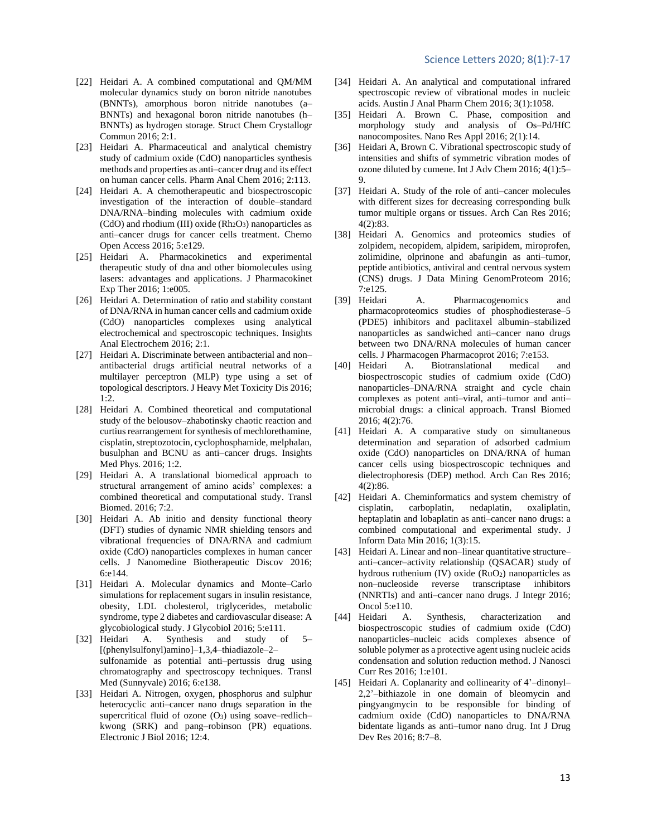- [22] Heidari A. A combined computational and QM/MM molecular dynamics study on boron nitride nanotubes (BNNTs), amorphous boron nitride nanotubes (a– BNNTs) and hexagonal boron nitride nanotubes (h– BNNTs) as hydrogen storage. Struct Chem Crystallogr Commun 2016; 2:1.
- [23] Heidari A. Pharmaceutical and analytical chemistry study of cadmium oxide (CdO) nanoparticles synthesis methods and properties as anti–cancer drug and its effect on human cancer cells. Pharm Anal Chem 2016; 2:113.
- [24] Heidari A. A chemotherapeutic and biospectroscopic investigation of the interaction of double–standard DNA/RNA–binding molecules with cadmium oxide  $(CdO)$  and rhodium (III) oxide  $(Rh<sub>2</sub>O<sub>3</sub>)$  nanoparticles as anti–cancer drugs for cancer cells treatment. Chemo Open Access 2016; 5:e129.
- [25] Heidari A. Pharmacokinetics and experimental therapeutic study of dna and other biomolecules using lasers: advantages and applications. J Pharmacokinet Exp Ther 2016; 1:e005.
- [26] Heidari A. Determination of ratio and stability constant of DNA/RNA in human cancer cells and cadmium oxide (CdO) nanoparticles complexes using analytical electrochemical and spectroscopic techniques. Insights Anal Electrochem 2016; 2:1.
- [27] Heidari A. Discriminate between antibacterial and non– antibacterial drugs artificial neutral networks of a multilayer perceptron (MLP) type using a set of topological descriptors. J Heavy Met Toxicity Dis 2016; 1:2.
- [28] Heidari A. Combined theoretical and computational study of the belousov–zhabotinsky chaotic reaction and curtius rearrangement for synthesis of mechlorethamine, cisplatin, streptozotocin, cyclophosphamide, melphalan, busulphan and BCNU as anti–cancer drugs. Insights Med Phys. 2016; 1:2.
- [29] Heidari A. A translational biomedical approach to structural arrangement of amino acids' complexes: a combined theoretical and computational study. Transl Biomed. 2016; 7:2.
- [30] Heidari A. Ab initio and density functional theory (DFT) studies of dynamic NMR shielding tensors and vibrational frequencies of DNA/RNA and cadmium oxide (CdO) nanoparticles complexes in human cancer cells. J Nanomedine Biotherapeutic Discov 2016; 6:e144.
- [31] Heidari A. Molecular dynamics and Monte–Carlo simulations for replacement sugars in insulin resistance, obesity, LDL cholesterol, triglycerides, metabolic syndrome, type 2 diabetes and cardiovascular disease: A glycobiological study. J Glycobiol 2016; 5:e111.
- [32] Heidari A. Synthesis and study of 5– [(phenylsulfonyl)amino]–1,3,4–thiadiazole–2– sulfonamide as potential anti–pertussis drug using chromatography and spectroscopy techniques. Transl Med (Sunnyvale) 2016; 6:e138.
- [33] Heidari A. Nitrogen, oxygen, phosphorus and sulphur heterocyclic anti–cancer nano drugs separation in the supercritical fluid of ozone  $(O_3)$  using soave–redlich– kwong (SRK) and pang–robinson (PR) equations. Electronic J Biol 2016; 12:4.
- [34] Heidari A. An analytical and computational infrared spectroscopic review of vibrational modes in nucleic acids. Austin J Anal Pharm Chem 2016; 3(1):1058.
- [35] Heidari A. Brown C. Phase, composition and morphology study and analysis of Os–Pd/HfC nanocomposites. Nano Res Appl 2016; 2(1):14.
- [36] Heidari A, Brown C. Vibrational spectroscopic study of intensities and shifts of symmetric vibration modes of ozone diluted by cumene. Int J Adv Chem 2016; 4(1):5– 9.
- [37] Heidari A. Study of the role of anti–cancer molecules with different sizes for decreasing corresponding bulk tumor multiple organs or tissues. Arch Can Res 2016; 4(2):83.
- [38] Heidari A. Genomics and proteomics studies of zolpidem, necopidem, alpidem, saripidem, miroprofen, zolimidine, olprinone and abafungin as anti–tumor, peptide antibiotics, antiviral and central nervous system (CNS) drugs. J Data Mining GenomProteom 2016; 7:e125.
- [39] Heidari A. Pharmacogenomics and pharmacoproteomics studies of phosphodiesterase–5 (PDE5) inhibitors and paclitaxel albumin–stabilized nanoparticles as sandwiched anti–cancer nano drugs between two DNA/RNA molecules of human cancer cells. J Pharmacogen Pharmacoprot 2016; 7:e153.
- [40] Heidari A. Biotranslational medical and biospectroscopic studies of cadmium oxide (CdO) nanoparticles–DNA/RNA straight and cycle chain complexes as potent anti–viral, anti–tumor and anti– microbial drugs: a clinical approach. Transl Biomed 2016; 4(2):76.
- [41] Heidari A. A comparative study on simultaneous determination and separation of adsorbed cadmium oxide (CdO) nanoparticles on DNA/RNA of human cancer cells using biospectroscopic techniques and dielectrophoresis (DEP) method. Arch Can Res 2016; 4(2):86.
- [42] Heidari A. [Cheminformatics](http://cheminformatics.conferenceseries.com/) and [system chemistry](http://cheminformatics.conferenceseries.com/) of cisplatin, carboplatin, nedaplatin, oxaliplatin, heptaplatin and lobaplatin as anti–cancer nano drugs: a combined computational and experimental study. J Inform Data Min 2016; 1(3):15.
- [43] Heidari A. Linear and non–linear quantitative structure– anti–cancer–activity relationship (QSACAR) study of hydrous ruthenium (IV) oxide (RuO<sub>2</sub>) nanoparticles as non–nucleoside reverse transcriptase inhibitors (NNRTIs) and anti–cancer nano drugs. J Integr 2016; Oncol 5:e110.
- [44] Heidari A. Synthesis, characterization and biospectroscopic studies of cadmium oxide (CdO) nanoparticles–nucleic acids complexes absence of soluble polymer as a protective agent using nucleic acids condensation and solution reduction method. J Nanosci Curr Res 2016; 1:e101.
- [45] Heidari A. Coplanarity and collinearity of 4'–dinonyl– 2,2'–bithiazole in one domain of bleomycin and pingyangmycin to be responsible for binding of cadmium oxide (CdO) nanoparticles to DNA/RNA bidentate ligands as anti–tumor nano drug. Int J Drug Dev Res 2016; 8:7–8.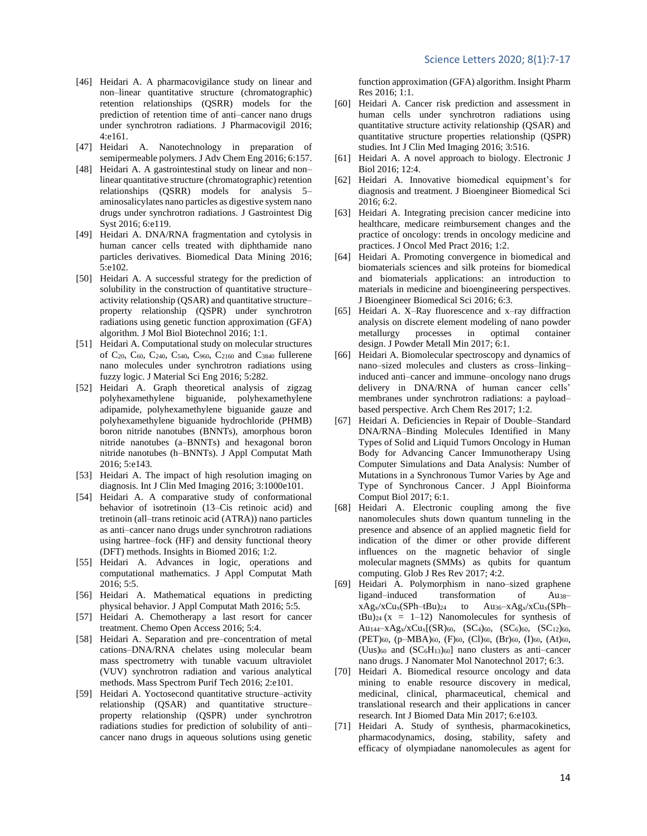- [46] Heidari A. A pharmacovigilance study on linear and non–linear quantitative structure (chromatographic) retention relationships (QSRR) models for the prediction of retention time of anti–cancer nano drugs under synchrotron radiations. J Pharmacovigil 2016; 4:e161.
- [47] Heidari A. Nanotechnology in preparation of semipermeable polymers. J Adv Chem Eng 2016; 6:157.
- [48] Heidari A. A gastrointestinal study on linear and non– linear quantitative structure (chromatographic) retention relationships (QSRR) models for analysis 5– aminosalicylates nano particles as digestive system nano drugs under synchrotron radiations. J Gastrointest Dig Syst 2016; 6:e119.
- [49] Heidari A. DNA/RNA fragmentation and cytolysis in human cancer cells treated with diphthamide nano particles derivatives. Biomedical Data Mining 2016; 5:e102.
- [50] Heidari A. A successful strategy for the prediction of solubility in the construction of quantitative structure– activity relationship (QSAR) and quantitative structure– property relationship (QSPR) under synchrotron radiations using genetic function approximation (GFA) algorithm. J Mol Biol Biotechnol 2016; 1:1.
- [51] Heidari A. Computational study on molecular structures of C<sub>20</sub>, C<sub>60</sub>, C<sub>240</sub>, C<sub>540</sub>, C<sub>960</sub>, C<sub>2160</sub> and C<sub>3840</sub> fullerene nano molecules under synchrotron radiations using fuzzy logic. J Material Sci Eng 2016; 5:282.
- [52] Heidari A. Graph theoretical analysis of zigzag polyhexamethylene biguanide, polyhexamethylene adipamide, polyhexamethylene biguanide gauze and polyhexamethylene biguanide hydrochloride (PHMB) boron nitride nanotubes (BNNTs), amorphous boron nitride nanotubes (a–BNNTs) and hexagonal boron nitride nanotubes (h–BNNTs). J Appl Computat Math 2016; 5:e143.
- [53] Heidari A. The impact of high resolution imaging on diagnosis. Int J Clin Med Imaging 2016; 3:1000e101.
- [54] Heidari A. A comparative study of conformational behavior of isotretinoin (13–Cis retinoic acid) and tretinoin (all–trans retinoic acid (ATRA)) nano particles as anti–cancer nano drugs under synchrotron radiations using hartree–fock (HF) and density functional theory (DFT) methods. Insights in Biomed 2016; 1:2.
- [55] Heidari A. Advances in logic, operations and computational mathematics. J Appl Computat Math 2016; 5:5.
- [56] Heidari A. Mathematical equations in predicting physical behavior. J Appl Computat Math 2016; 5:5.
- [57] Heidari A. Chemotherapy a last resort for cancer treatment. Chemo Open Access 2016; 5:4.
- [58] Heidari A. Separation and pre–concentration of metal cations–DNA/RNA chelates using molecular beam mass spectrometry with tunable vacuum ultraviolet (VUV) synchrotron radiation and various analytical methods. Mass Spectrom Purif Tech 2016; 2:e101.
- [59] Heidari A. Yoctosecond quantitative structure–activity relationship (QSAR) and quantitative structure– property relationship (QSPR) under synchrotron radiations studies for prediction of solubility of anti– cancer nano drugs in aqueous solutions using genetic

function approximation (GFA) algorithm. Insight Pharm Res 2016; 1:1.

- [60] Heidari A. Cancer risk prediction and assessment in human cells under synchrotron radiations using quantitative structure activity relationship (QSAR) and quantitative structure properties relationship (QSPR) studies. Int J Clin Med Imaging 2016; 3:516.
- [61] Heidari A. A novel approach to biology. Electronic J Biol 2016; 12:4.
- [62] Heidari A. Innovative biomedical equipment's for diagnosis and treatment. J Bioengineer Biomedical Sci 2016; 6:2.
- [63] Heidari A. Integrating precision cancer medicine into healthcare, medicare reimbursement changes and the practice of oncology: trends in oncology medicine and practices. J Oncol Med Pract 2016; 1:2.
- [64] Heidari A. Promoting convergence in biomedical and biomaterials sciences and silk proteins for biomedical and biomaterials applications: an introduction to materials in medicine and bioengineering perspectives. J Bioengineer Biomedical Sci 2016; 6:3.
- [65] Heidari A. X–Ray fluorescence and x–ray diffraction analysis on discrete element modeling of nano powder metallurgy processes in optimal container design. J Powder Metall Min 2017; 6:1.
- [66] Heidari A. Biomolecular spectroscopy and dynamics of nano–sized molecules and clusters as cross–linking– induced anti–cancer and immune–oncology nano drugs delivery in DNA/RNA of human cancer cells' membranes under synchrotron radiations: a payload– based perspective. Arch Chem Res 2017; 1:2.
- [67] Heidari A. Deficiencies in Repair of Double–Standard DNA/RNA–Binding Molecules Identified in Many Types of Solid and Liquid Tumors Oncology in Human Body for Advancing Cancer Immunotherapy Using Computer Simulations and Data Analysis: Number of Mutations in a Synchronous Tumor Varies by Age and Type of Synchronous Cancer. J Appl Bioinforma Comput Biol 2017; 6:1.
- [68] Heidari A. Electronic coupling among the five nanomolecules shuts down quantum tunneling in the presence and absence of an applied magnetic field for indication of the dimer or other provide different influences on the magnetic behavior of single molecular magnets (SMMs) as qubits for quantum computing. Glob J Res Rev 2017; 4:2.
- [69] Heidari A. [Polymorphism in nano–sized graphene](https://www.google.com/url?sa=t&rct=j&q=&esrc=s&source=web&cd=25&cad=rja&uact=8&ved=0ahUKEwjQ85Ock4jUAhXH3iwKHdiEDTU4FBAWCDwwBA&url=https%3A%2F%2Ffigshare.com%2Farticles%2FThiol_Ligand_Induced_Transformation_of_Au_sub_38_sub_SC_sub_2_sub_H_sub_4_sub_Ph_sub_24_sub_to_Au_sub_36_sub_SPh_i_t_i_Bu_sub_24_sub_%2F2393989&usg=AFQjCNGoUMzCvwEcELAZ_eEPIXKutj5tBg&sig2=TZgqWuUuNG1yFoRy3-0gVg)  [ligand–induced transformation](https://www.google.com/url?sa=t&rct=j&q=&esrc=s&source=web&cd=25&cad=rja&uact=8&ved=0ahUKEwjQ85Ock4jUAhXH3iwKHdiEDTU4FBAWCDwwBA&url=https%3A%2F%2Ffigshare.com%2Farticles%2FThiol_Ligand_Induced_Transformation_of_Au_sub_38_sub_SC_sub_2_sub_H_sub_4_sub_Ph_sub_24_sub_to_Au_sub_36_sub_SPh_i_t_i_Bu_sub_24_sub_%2F2393989&usg=AFQjCNGoUMzCvwEcELAZ_eEPIXKutj5tBg&sig2=TZgqWuUuNG1yFoRy3-0gVg) of Au38–  $xAg_x/xCu_x(SPh-tBu)_{24}$  to  $Au_{36}-xAg_x/xCu_x(SPh-tBu)_{24}$  $tBu)_{24}$  (x = 1–12) Nanomolecules for synthesis of Au<sub>144</sub>-xAg<sub>x</sub>/xCu<sub>x</sub>[(SR)<sub>60</sub>, (SC<sub>4</sub>)<sub>60</sub>, (SC<sub>6</sub>)<sub>60</sub>, (SC<sub>12</sub>)<sub>60</sub>, (PET)60, (p–MBA)60, (F)60, (Cl)60, (Br)60, (I)60, (At)60,  $(Uus)_{60}$  and  $(SC_6H_{13})_{60}$ ] nano clusters as anti-cancer nano drugs. J Nanomater Mol Nanotechnol 2017; 6:3.
- [70] Heidari A. Biomedical resource oncology and data mining to enable resource discovery in medical, medicinal, clinical, pharmaceutical, chemical and translational research and their applications in cancer research. Int J Biomed Data Min 2017; 6:e103.
- [71] Heidari A. Study of synthesis, pharmacokinetics, pharmacodynamics, dosing, stability, safety and efficacy of olympiadane nanomolecules as agent for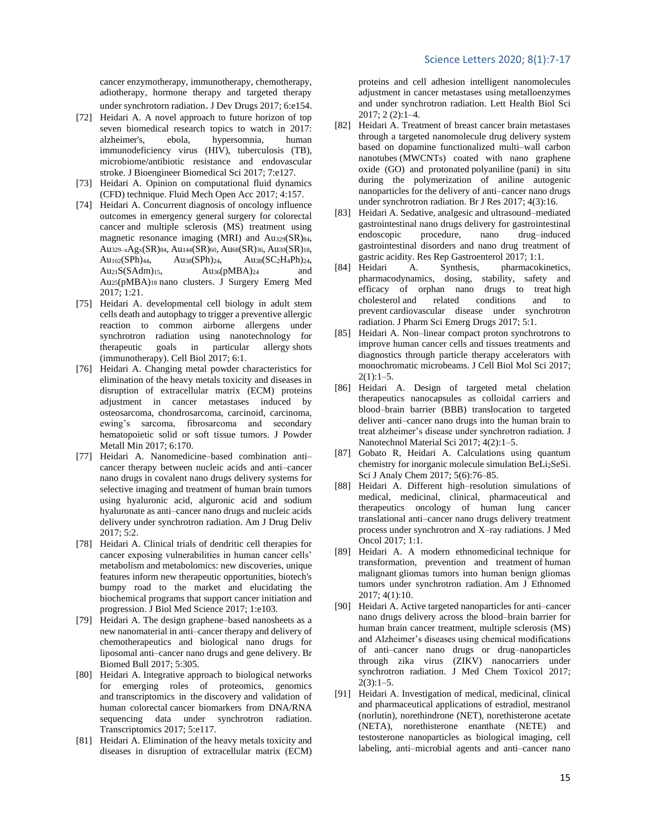cancer enzymotherapy, immunotherapy, chemotherapy, adiotherapy, hormone therapy and targeted therapy under synchrotorn radiation. J Dev Drugs 2017; 6:e154.

- [72] Heidari A. A novel approach to future horizon of top seven biomedical research topics to watch in 2017: alzheimer's, ebola, hypersomnia, human immunodeficiency virus (HIV), tuberculosis (TB), microbiome/antibiotic resistance and endovascular stroke. J Bioengineer Biomedical Sci 2017; 7:e127.
- [73] Heidari A. Opinion on computational fluid dynamics (CFD) technique. Fluid Mech Open Acc 2017; 4:157.
- [74] Heidari A. Concurrent diagnosis of oncology influence outcomes in emergency general surgery for colorectal cancer and multiple sclerosis (MS) treatment using magnetic resonance imaging (MRI) and Au329(SR)84, Au329–xAgx(SR)84, Au144(SR)60, Au68(SR)36, Au30(SR)18, Au<sub>102</sub>(SPh)<sub>44</sub>, Au<sub>38</sub>(SPh)<sub>24</sub>, Au<sub>38</sub>(SC<sub>2</sub>H<sub>4</sub>Ph)<sub>24</sub>,  $Au_{21}S(SAdm)_{15}$ ,  $Au_{36}(pMBA)_{24}$  and Au25(pMBA)<sup>18</sup> nano clusters. J Surgery Emerg Med 2017; 1:21.
- [75] Heidari A. [developmental cell biology](http://www.nature.com/nrm/series/devcellbiol/index.html) in adult stem [cells](http://www.nature.com/nrm/series/adultstemcells/index.html) [death and autophagy](http://www.nature.com/nrm/series/celldeathandautophagy) to trigger a preventiv[e allergic](https://en.wikipedia.org/wiki/Allergic_reaction)  [reaction](https://en.wikipedia.org/wiki/Allergic_reaction) to common airborne allergens under synchrotron radiation using nanotechnology for<br>therapeutic goals in particular allergy shots therapeutic goals in particular (immunotherapy). Cell Biol 2017; 6:1.
- [76] Heidari A. Changing metal powder characteristics for elimination of the heavy metals toxicity and diseases in disruption of extracellular matrix (ECM) proteins adjustment in cancer metastases induced by osteosarcoma, chondrosarcoma, carcinoid, carcinoma, ewing's sarcoma, fibrosarcoma and secondary hematopoietic solid or soft tissue tumors. J Powder Metall Min 2017; 6:170.
- [77] Heidari A. Nanomedicine–based combination anti– cancer therapy between nucleic acids and anti–cancer nano drugs in covalent nano drugs delivery systems for selective imaging and treatment of human brain tumors using hyaluronic acid, alguronic acid and sodium hyaluronate as anti–cancer nano drugs and nucleic acids delivery under synchrotron radiation. Am J Drug Deliv 2017; 5:2.
- [78] Heidari A. Clinical trials of dendritic cell therapies for cancer [exposing vulnerabilities in human cancer cells'](http://www.nyas.org/Events/Detail.aspx?cid=48653b97-3418-4dc6-9f1f-32befeca4c5f)  [metabolism and metabolomics: new discoveries,](http://www.nyas.org/Events/Detail.aspx?cid=48653b97-3418-4dc6-9f1f-32befeca4c5f) unique features inform new therapeutic opportunities, biotech's bumpy road to the market and elucidating the biochemical programs that support cancer initiation and progression. J Biol Med Science 2017; 1:e103.
- [79] Heidari A. The design graphene–based nanosheets as a new nanomaterial in anti–cancer therapy and delivery of chemotherapeutics and biological nano drugs for liposomal anti–cancer nano drugs and gene delivery. Br Biomed Bull 2017; 5:305.
- [80] Heidari A. Integrative approach to biological networks for emerging roles of proteomics, genomics and transcriptomics in the discovery and validation of human colorectal cancer biomarkers from DNA/RNA sequencing data under synchrotron radiation. Transcriptomics 2017; 5:e117.
- [81] Heidari A. Elimination of the heavy metals toxicity and diseases in disruption of extracellular matrix (ECM)

proteins and cell adhesion intelligent nanomolecules adjustment in cancer metastases using metalloenzymes and under synchrotron radiation. Lett Health Biol Sci 2017; 2 (2):1–4.

- [82] Heidari A. Treatment of breast cancer brain metastases through a targeted nanomolecule drug delivery system based on dopamine functionalized multi–wall carbon nanotubes (MWCNTs) coated with nano graphene oxide (GO) and protonated polyaniline (pani) in situ during the polymerization of aniline autogenic nanoparticles for the delivery of anti–cancer nano drugs under synchrotron radiation. Br J Res 2017; 4(3):16.
- [83] Heidari A. Sedative, analgesic and ultrasound–mediated gastrointestinal nano drugs delivery for gastrointestinal endoscopic procedure, nano drug–induced gastrointestinal disorders and nano drug treatment of gastric acidity. Res Rep Gastroenterol 2017; 1:1.
- [84] Heidari A. Synthesis, [pharmacokinetics,](https://en.wikipedia.org/wiki/Pharmacokinetics) [pharmacodynamics,](https://en.wikipedia.org/wiki/Pharmacodynamics) [dosing,](https://en.wikipedia.org/wiki/Dosing) stability, safety and efficacy of orphan nano drugs to treat [high](https://en.wikipedia.org/wiki/Hypercholesterolemia)  [cholesterol](https://en.wikipedia.org/wiki/Hypercholesterolemia) and related conditions and to prevent [cardiovascular disease](https://en.wikipedia.org/wiki/Cardiovascular_disease) under synchrotron radiation. J Pharm Sci Emerg Drugs 2017; 5:1.
- [85] Heidari A. Non–linear compact proton synchrotrons to improve human cancer cells and tissues treatments and diagnostics through [particle therapy accelerators](https://www.google.com/url?sa=t&rct=j&q=&esrc=s&source=web&cd=36&cad=rja&uact=8&ved=0ahUKEwic3_7Xm4TVAhWFuxQKHdtxAcs4HhAWCDYwBQ&url=http%3A%2F%2Fwww.danfysik.com%2Fen%2Fsolutions%2Fparticle-therapy-accelerators%2F&usg=AFQjCNFfa8eHY66sCobwNMGssdKxMjdzdg) with monochromatic microbeams. J Cell Biol Mol Sci 2017;  $2(1):1-5.$
- [86] Heidari A. Design of targeted metal chelation therapeutics nanocapsules as colloidal carriers and blood–brain barrier (BBB) translocation to targeted deliver anti–cancer nano drugs into the human brain to treat alzheimer's disease under synchrotron radiation. J Nanotechnol Material Sci 2017; 4(2):1–5.
- [87] Gobato R, Heidari A. Calculations using quantum chemistry for inorganic molecule simulation BeLi2SeSi. Sci J Analy Chem 2017; 5(6):76–85.
- [88] Heidari A. Different high–resolution simulations of medical, medicinal, clinical, pharmaceutical and therapeutics oncology of human lung cancer translational anti–cancer nano drugs delivery treatment process under synchrotron and X–ray radiations. J Med Oncol 2017; 1:1.
- [89] Heidari A. A modern ethnomedicinal technique for transformation, prevention and treatment of human malignant gliomas tumors into human benign gliomas tumors under synchrotron radiation. Am J Ethnomed 2017; 4(1):10.
- [90] Heidari A. Active targeted nanoparticles for anti–cancer nano drugs delivery across the blood–brain barrier for human brain cancer treatment, multiple sclerosis (MS) and Alzheimer's diseases using chemical modifications of anti–cancer nano drugs or drug–nanoparticles through zika virus (ZIKV) nanocarriers under synchrotron radiation. J Med Chem Toxicol 2017;  $2(3):1-5$ .
- [91] Heidari A. Investigation of medical, medicinal, clinical and pharmaceutical applications of estradiol, mestranol (norlutin), norethindrone (NET), norethisterone acetate (NETA), norethisterone enanthate (NETE) and testosterone nanoparticles as biological imaging, cell labeling, anti–microbial agents and anti–cancer nano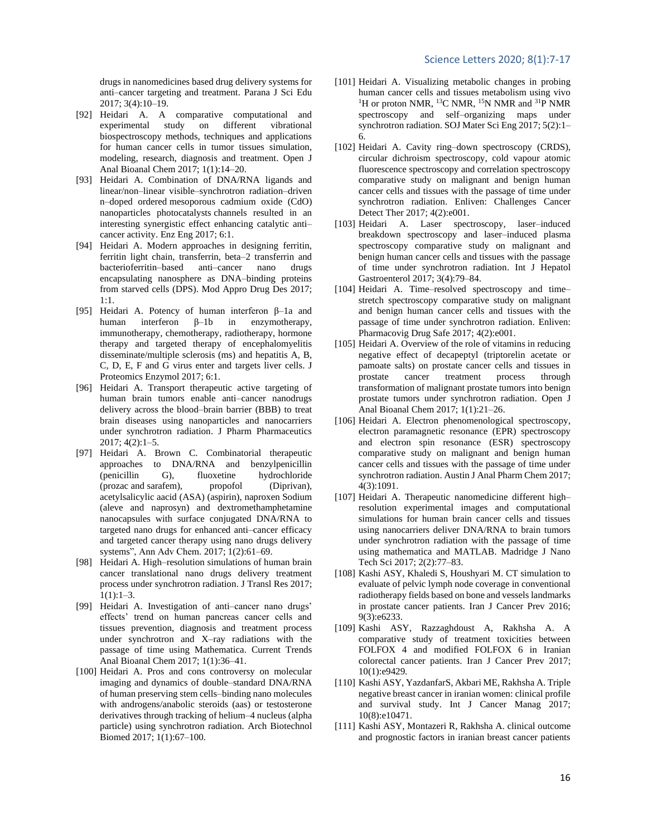drugs in nanomedicines based drug delivery systems for anti–cancer targeting and treatment. Parana J Sci Edu 2017; 3(4):10–19.

- [92] Heidari A. A comparative computational and experimental study on different vibrational biospectroscopy methods, techniques and applications for human cancer cells in tumor tissues simulation, modeling, research, diagnosis and treatment. Open J Anal Bioanal Chem 2017; 1(1):14–20.
- [93] Heidari A. Combination of DNA/RNA ligands and linear/non–linear visible–synchrotron radiation–driven n–doped ordered mesoporous cadmium oxide (CdO) nanoparticles photocatalysts channels resulted in an interesting synergistic effect enhancing catalytic anti– cancer activity. Enz Eng 2017; 6:1.
- [94] Heidari A. Modern approaches in designing ferritin, ferritin light chain, transferrin, beta–2 transferrin and bacterioferritin–based anti–cancer nano drugs encapsulating nanosphere as DNA–binding proteins from starved cells (DPS). Mod Appro Drug Des 2017; 1:1.
- [95] Heidari A. Potency of human interferon β–1a and human interferon β–1b in enzymotherapy, immunotherapy, chemotherapy, radiotherapy, hormone therapy and targeted therapy of encephalomyelitis disseminate/multiple sclerosis (ms) and hepatitis A, B, C, D, E, F and G virus enter and targets liver cells. J Proteomics Enzymol 2017; 6:1.
- [96] Heidari A. Transport therapeutic active targeting of human brain tumors enable anti–cancer nanodrugs delivery across the blood–brain barrier (BBB) to treat brain diseases using nanoparticles and nanocarriers under synchrotron radiation. J Pharm Pharmaceutics 2017; 4(2):1–5.
- [97] Heidari A. Brown C. Combinatorial therapeutic approaches to DNA/RNA and benzylpenicillin (penicillin G), fluoxetine hydrochloride<br>(prozac and sarafem), propofol (Diprivan), (prozac and sarafem), propofol (Diprivan), acetylsalicylic aacid (ASA) (aspirin), naproxen Sodium (aleve and naprosyn) and dextromethamphetamine nanocapsules with surface conjugated DNA/RNA to targeted nano drugs for enhanced anti–cancer efficacy and targeted cancer therapy using nano drugs delivery systems", Ann Adv Chem. 2017; 1(2):61–69.
- [98] Heidari A. High–resolution simulations of human brain cancer translational nano drugs delivery treatment process under synchrotron radiation. J Transl Res 2017;  $1(1):1-3.$
- [99] Heidari A. Investigation of anti–cancer nano drugs' effects' trend on human pancreas cancer cells and tissues prevention, diagnosis and treatment process under synchrotron and X–ray radiations with the passage of time using Mathematica. Current Trends Anal Bioanal Chem 2017; 1(1):36–41.
- [100] Heidari A. Pros and cons controversy on molecular imaging and dynamics of double–standard DNA/RNA of human preserving stem cells–binding nano molecules with androgens/anabolic steroids (aas) or testosterone derivatives through tracking of helium–4 nucleus (alpha particle) using synchrotron radiation. Arch Biotechnol Biomed 2017; 1(1):67–100.
- [101] Heidari A. Visualizing metabolic changes in probing human cancer cells and tissues metabolism using vivo <sup>1</sup>H or proton NMR, <sup>13</sup>C NMR, <sup>15</sup>N NMR and <sup>31</sup>P NMR spectroscopy and self–organizing maps under synchrotron radiation. SOJ Mater Sci Eng 2017; 5(2):1– 6.
- [102] Heidari A. Cavity ring–down spectroscopy (CRDS), circular dichroism spectroscopy, cold vapour atomic fluorescence spectroscopy and correlation spectroscopy comparative study on malignant and benign human cancer cells and tissues with the passage of time under synchrotron radiation. Enliven: Challenges Cancer Detect Ther 2017; 4(2):e001.
- [103] Heidari A. Laser spectroscopy, laser–induced breakdown spectroscopy and laser–induced plasma spectroscopy comparative study on malignant and benign human cancer cells and tissues with the passage of time under synchrotron radiation. Int J Hepatol Gastroenterol 2017; 3(4):79–84.
- [104] Heidari A. Time–resolved spectroscopy and time– stretch spectroscopy comparative study on malignant and benign human cancer cells and tissues with the passage of time under synchrotron radiation. Enliven: Pharmacovig Drug Safe 2017; 4(2):e001.
- [105] Heidari A. Overview of the role of vitamins in reducing negative effect of decapeptyl (triptorelin acetate or pamoate salts) on prostate cancer cells and tissues in prostate cancer treatment process through transformation of malignant prostate tumors into benign prostate tumors under synchrotron radiation. Open J Anal Bioanal Chem 2017; 1(1):21–26.
- [106] Heidari A. Electron phenomenological spectroscopy, electron paramagnetic resonance (EPR) spectroscopy and electron spin resonance (ESR) spectroscopy comparative study on malignant and benign human cancer cells and tissues with the passage of time under synchrotron radiation. Austin J Anal Pharm Chem 2017; 4(3):1091.
- [107] Heidari A. Therapeutic nanomedicine different high– resolution experimental images and computational simulations for human brain cancer cells and tissues using nanocarriers deliver DNA/RNA to brain tumors under synchrotron radiation with the passage of time using mathematica and MATLAB. Madridge J Nano Tech Sci 2017; 2(2):77–83.
- [108] Kashi ASY, Khaledi S, Houshyari M. CT simulation to evaluate of pelvic lymph node coverage in conventional radiotherapy fields based on bone and vessels landmarks in prostate cancer patients. Iran J Cancer Prev 2016; 9(3):e6233.
- [109] Kashi ASY, Razzaghdoust A, Rakhsha A. A comparative study of treatment toxicities between FOLFOX 4 and modified FOLFOX 6 in Iranian colorectal cancer patients. Iran J Cancer Prev 2017; 10(1):e9429.
- [110] Kashi ASY, YazdanfarS, Akbari ME, Rakhsha A. Triple negative breast cancer in iranian women: clinical profile and survival study. Int J Cancer Manag 2017; 10(8):e10471.
- [111] Kashi ASY, Montazeri R, Rakhsha A. clinical outcome and prognostic factors in iranian breast cancer patients